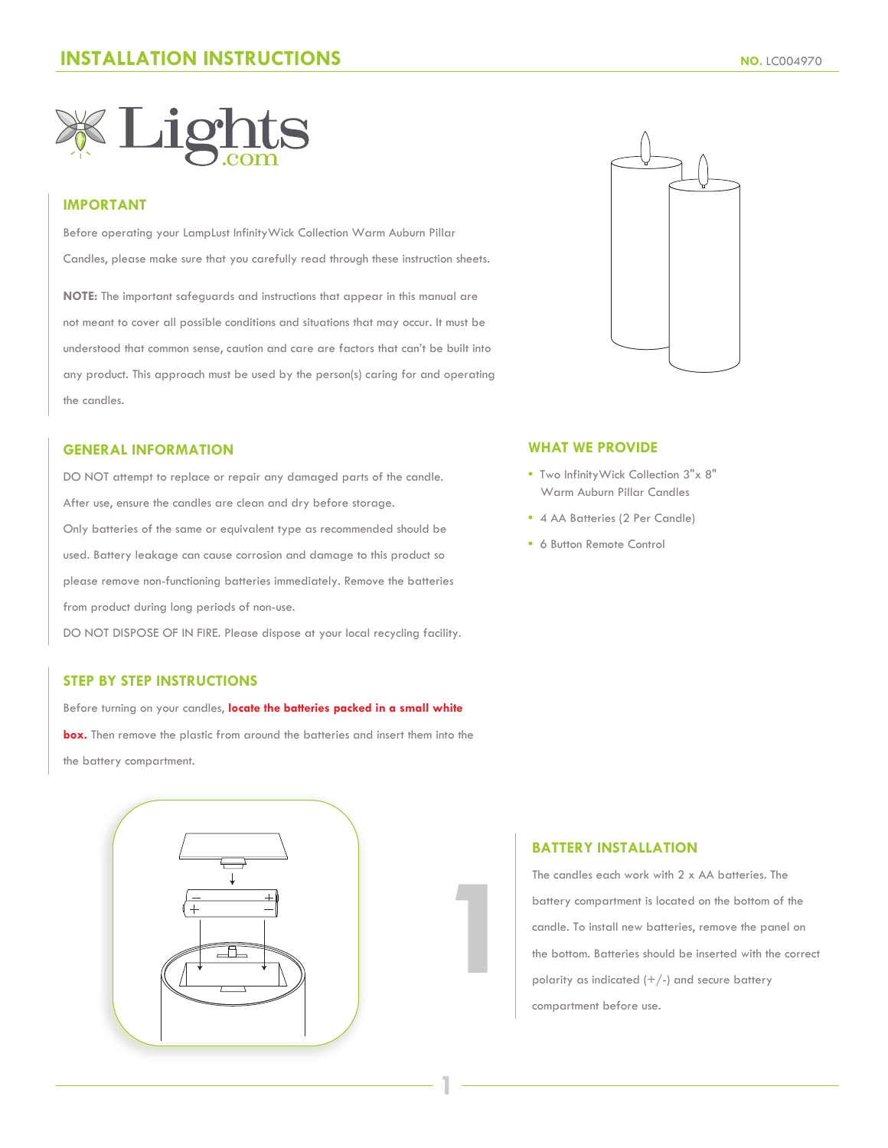

### **IMPORTANT**

Before operating your LampLust InfinityWick Collection Warm Auburn Pillar Candles, please make sure that you carefully read through these instruction sheets.

**NOTE:** The important safeguards and instructions that appear in this manual are not meant to cover all possible conditions and situations that may occur. It must be understood that common sense, caution and care are factors that can't be built into any product. This approach must be used by the person(s) caring for and operating the candles.

#### **GENERAL INFORMATION**

DO NOT attempt to replace or repair any damaged parts of the candle. After use, ensure the candles are clean and dry before storage. Only batteries of the same or equivalent type as recommended should be used. Battery leakage can cause corrosion and damage to this product so please remove non-functioning batteries immediately. Remove the batteries from product during long periods of non-use.

DO NOT DISPOSE OF IN FIRE. Please dispose at your local recycling facility.

### **STEP BY STEP INSTRUCTIONS**

Before turning on your candles, **locate the batteries packed in a small white box.** Then remove the plastic from around the batteries and insert them into the the battery compartment.





#### **WHAT WE PROVIDE**

- Two InfinityWick Collection 3"x 8" Warm Auburn Pillar Candles
- 4 AA Batteries (2 Per Candle)
- 6 Button Remote Control

### **BATTERY INSTALLATION**

**1**

**1**

The candles each work with 2 x AA batteries. The battery compartment is located on the bottom of the candle. To install new batteries, remove the panel on the bottom. Batteries should be inserted with the correct polarity as indicated  $(+/-)$  and secure battery compartment before use.